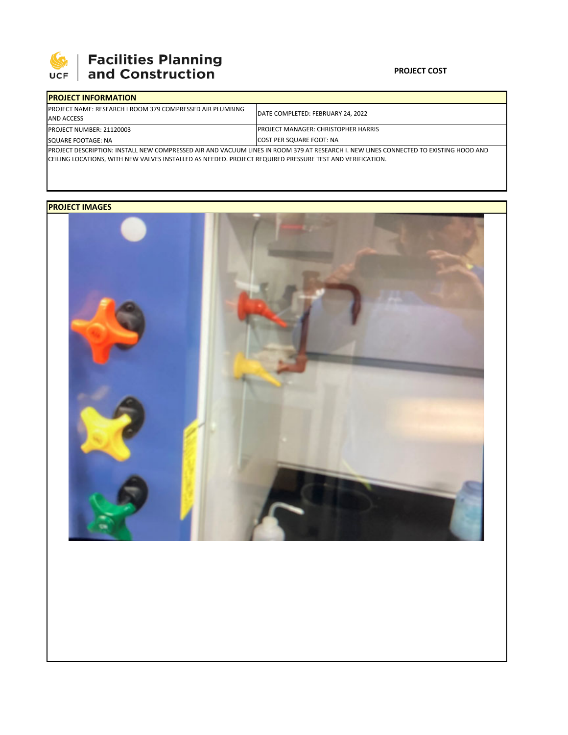

## **SEPTE AND FACIlities Planning**<br>UCF and Construction

## **PROJECT COST**

| <b>IPROJECT INFORMATION</b>                                                                                                           |                                      |  |  |  |
|---------------------------------------------------------------------------------------------------------------------------------------|--------------------------------------|--|--|--|
| <b>IPROJECT NAME: RESEARCH I ROOM 379 COMPRESSED AIR PLUMBING</b><br><b>AND ACCESS</b>                                                | IDATE COMPLETED: FEBRUARY 24. 2022   |  |  |  |
| <b>PROJECT NUMBER: 21120003</b>                                                                                                       | IPROJECT MANAGER: CHRISTOPHER HARRIS |  |  |  |
| SQUARE FOOTAGE: NA                                                                                                                    | <b>COST PER SQUARE FOOT: NA</b>      |  |  |  |
| IPROJECT DESCRIPTION: INSTALL NEW COMPRESSED AIR AND VACUUM LINES IN ROOM 379 AT RESEARCH I. NEW LINES CONNECTED TO EXISTING HOOD AND |                                      |  |  |  |
| ICEILING LOCATIONS, WITH NEW VALVES INSTALLED AS NEEDED. PROJECT REQUIRED PRESSURE TEST AND VERIFICATION.                             |                                      |  |  |  |

## **PROJECT IMAGES**